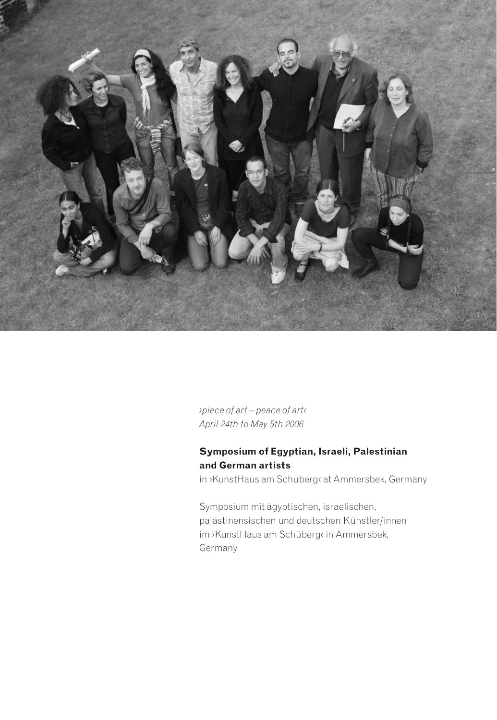

*› piece of art – peace of art ‹ April 24th to May 5th 2006*

# **Symposium of Egyptian, Israeli, Palestinian and German artists**

in ›KunstHaus am Schüberg‹ at Ammersbek, Germany

Symposium mit ägyptischen, israelischen, palästinensischen und deutschen Künstler/innen im ›KunstHaus am Schüberg‹ in Ammersbek, Germany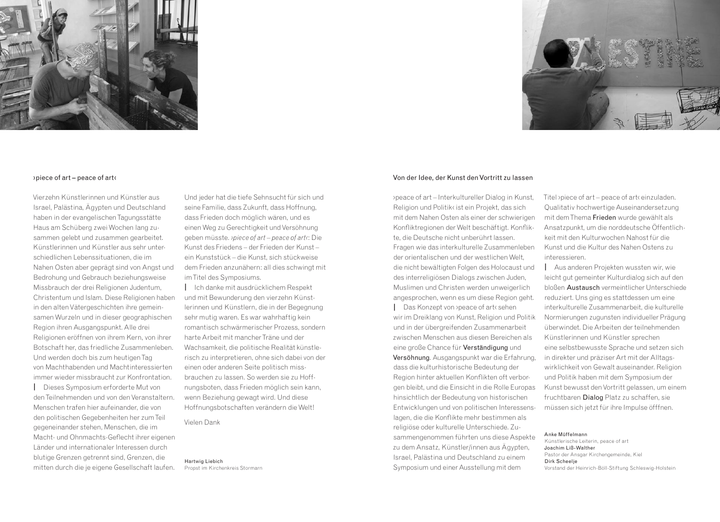



### › piece of art – peace of art ‹

Vierzehn Künstlerinnen und Künstler aus Israel, Palästina, Ägypten und Deutschland haben in der evangelischen Tagungsstätte Haus am Schüberg zwei Wochen lang zusammen gelebt und zusammen gearbeitet. Künstlerinnen und Künstler aus sehr unterschiedlichen Lebenssituationen, die im Nahen Osten aber geprägt sind von Angst und Bedrohung und Gebrauch beziehungsweise Missbrauch der drei Religionen Judentum, Christentum und Islam. Diese Religionen haben in den alten Vätergeschichten ihre gemeinsamen Wurzeln und in dieser geographischen Region ihren Ausgangspunkt. Alle drei Religionen eröffnen von ihrem Kern, von ihrer Botschaft her, das friedliche Zusammenleben. Und werden doch bis zum heutigen Tag von Machthabenden und Machtinteressierten immer wieder missbraucht zur Konfrontation.

**|** Dieses Symposium erforderte Mut von den Teilnehmenden und von den Veranstaltern. Menschen trafen hier aufeinander, die von den politischen Gegebenheiten her zum Teil gegeneinander stehen, Menschen, die im Macht- und Ohnmachts-Geflecht ihrer eigenen Länder und internationaler Interessen durch blutige Grenzen getrennt sind, Grenzen, die mitten durch die je eigene Gesellschaft laufen. Und jeder hat die tiefe Sehnsucht für sich und seine Familie, dass Zukunft, dass Hoffnung, dass Frieden doch möglich wären, und es einen Weg zu Gerechtigkeit und Versöhnung geben müsste. *› piece of art – peace of art‹*: Die Kunst des Friedens – der Frieden der Kunst – ein Kunststück – die Kunst, sich stückweise dem Frieden anzunähern: all dies schwingt mit im Titel des Symposiums.

**|** Ich danke mit ausdrücklichem Respekt und mit Bewunderung den vierzehn Künstlerinnen und Künstlern, die in der Begegnung sehr mutig waren. Es war wahrhaftig kein romantisch schwärmerischer Prozess, sondern harte Arbeit mit mancher Träne und der Wachsamkeit, die politische Realität künstlerisch zu interpretieren, ohne sich dabei von der einen oder anderen Seite politisch missbrauchen zu lassen. So werden sie zu Hoffnungsboten, dass Frieden möglich sein kann, wenn Beziehung gewagt wird. Und diese Hoffnungsbotschaften verändern die Welt!

Vielen Dank

Hartwig Liebich Propst im Kirchenkreis Stormarn

#### Von der Idee, der Kunst den Vortritt zu lassen

›peace of art – Interkultureller Dialog in Kunst, Religion und Politik‹ ist ein Projekt, das sich mit dem Nahen Osten als einer der schwierigen Konfliktregionen der Welt beschäftigt. Konflikte, die Deutsche nicht unberührt lassen. Fragen wie das interkulturelle Zusammenleben der orientalischen und der westlichen Welt, die nicht bewältigten Folgen des Holocaust und des interreligiösen Dialogs zwischen Juden, Muslimen und Christen werden unweigerlich angesprochen, wenn es um diese Region geht. **|** Das Konzept von ›peace of art‹ sehen wir im Dreiklang von Kunst, Religion und Politik und in der übergreifenden Zusammenarbeit zwischen Menschen aus diesen Bereichen als eine große Chance für Verständigung und Versöhnung*.* Ausgangspunkt war die Erfahrung, dass die kulturhistorische Bedeutung der Region hinter aktuellen Konflikten oft verborgen bleibt, und die Einsicht in die Rolle Europas hinsichtlich der Bedeutung von historischen Entwicklungen und von politischen Interessenslagen, die die Konflikte mehr bestimmen als religiöse oder kulturelle Unterschiede. Zusammengenommen führten uns diese Aspekte zu dem Ansatz, Künstler/innen aus Ägypten, Israel, Palästina und Deutschland zu einem Symposium und einer Ausstellung mit dem

Titel >piece of art – peace of art< einzuladen. Qualitativ hochwertige Auseinandersetzung mit dem Thema Frieden wurde gewählt als Ansatzpunkt, um die norddeutsche Öffentlichkeit mit den Kulturwochen Nahost für die Kunst und die Kultur des Nahen Ostens zu interessieren.

**|** Aus anderen Projekten wussten wir, wie leicht gut gemeinter Kulturdialog sich auf den bloßen Austausch vermeintlicher Unterschiede reduziert. Uns ging es stattdessen um eine interkulturelle Zusammenarbeit, die kulturelle Normierungen zugunsten individueller Prägung überwindet. Die Arbeiten der teilnehmenden Künstlerinnen und Künstler sprechen eine selbstbewusste Sprache und setzen sich in direkter und präziser Art mit der Alltagswirklichkeit von Gewalt auseinander. Religion und Politik haben mit dem Symposium der Kunst bewusst den Vortritt gelassen, um einem fruchtbaren Dialog Platz zu schaffen, sie müssen sich jetzt für ihre Impulse öfffnen.

Anke Müffelmann Künstlerische Leiterin, peace of art Joachim Liß-Walther Pastor der Ansgar Kirchengemeinde, Kiel Dirk Scheelje Vorstand der Heinrich-Böll-Stiftung Schleswig-Holstein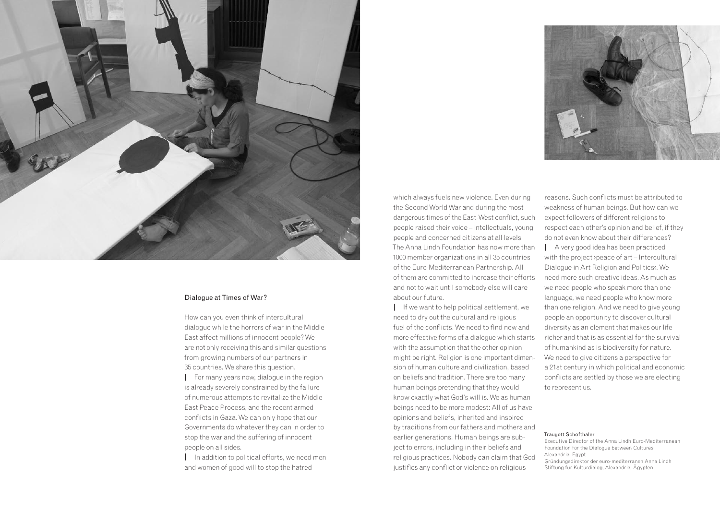

### Dialogue at Times of War?

How can you even think of intercultural dialogue while the horrors of war in the Middle East affect millions of innocent people? We are not only receiving this and similar questions from growing numbers of our partners in 35 countries. We share this question.

**|** For many years now, dialogue in the region is already severely constrained by the failure of numerous attempts to revitalize the Middle East Peace Process, and the recent armed conflicts in Gaza. We can only hope that our Governments do whatever they can in order to stop the war and the suffering of innocent people on all sides.

**|** In addition to political efforts, we need men and women of good will to stop the hatred

which always fuels new violence. Even during the Second World War and during the most dangerous times of the East-West conflict, such people raised their voice – intellectuals, young people and concerned citizens at all levels. The Anna Lindh Foundation has now more than 1000 member organizations in all 35 countries of the Euro-Mediterranean Partnership. All of them are committed to increase their efforts and not to wait until somebody else will care about our future.

**|** If we want to help political settlement, we need to dry out the cultural and religious fuel of the conflicts. We need to find new and more effective forms of a dialogue which starts with the assumption that the other opinion might be right. Religion is one important dimension of human culture and civilization, based on beliefs and tradition. There are too many human beings pretending that they would know exactly what God's will is. We as human beings need to be more modest: All of us have opinions and beliefs, inherited and inspired by traditions from our fathers and mothers and earlier generations. Human beings are subject to errors, including in their beliefs and religious practices. Nobody can claim that God justifies any conflict or violence on religious



reasons. Such conflicts must be attributed to weakness of human beings. But how can we expect followers of different religions to respect each other's opinion and belief, if they do not even know about their differences? **|** A very good idea has been practiced with the project ›peace of art – Intercultural Dialogue in Art Religion and Politics‹. We need more such creative ideas. As much as we need people who speak more than one language, we need people who know more than one religion. And we need to give young people an opportunity to discover cultural diversity as an element that makes our life richer and that is as essential for the survival of humankind as is biodiversity for nature. We need to give citizens a perspective for a 21st century in which political and economic conflicts are settled by those we are electing to represent us.

#### Traugott Schöfthaler

Executive Director of the Anna Lindh Euro-Mediterranean Foundation for the Dialogue between Cultures, Alexandria, Egypt Gründungsdirektor der euro-mediterranen Anna Lindh Stiftung für Kulturdialog, Alexandria, Ägypten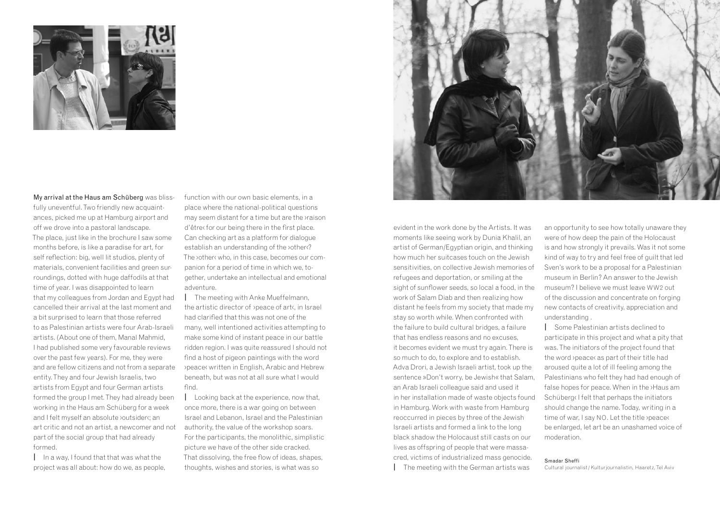

My arrival at the Haus am Schüberg was blissfully uneventful. Two friendly new acquaintances, picked me up at Hamburg airport and off we drove into a pastoral landscape. The place, just like in the brochure I saw some months before, is like a paradise for art, for self reflection: big, well lit studios, plenty of materials, convenient facilities and green surroundings, dotted with huge daffodils at that time of year. I was disappointed to learn that my colleagues from Jordan and Egypt had cancelled their arrival at the last moment and a bit surprised to learn that those referred to as Palestinian artists were four Arab-Israeli artists. (About one of them, Manal Mahmid, I had published some very favourable reviews over the past few years). For me, they were and are fellow citizens and not from a separate entity. They and four Jewish Israelis, two artists from Egypt and four German artists formed the group I met. They had already been working in the Haus am Schüberg for a week and I felt myself an absolute >outsider<; an art critic and not an artist, a newcomer and not part of the social group that had already formed.

**|** In a way, I found that that was what the project was all about: how do we, as people, function with our own basic elements, in a place where the national-political questions may seem distant for a time but are the ›raison d'être< for our being there in the first place. Can checking art as a platform for dialogue establish an understanding of the *vother*<sup>2</sup> The *>other<* who, in this case, becomes our companion for a period of time in which we, together, undertake an intellectual and emotional adventure.

**|** The meeting with Anke Mueffelmann, the artistic director of ›peace of art‹, in Israel had clarified that this was not one of the many, well intentioned activities attempting to make some kind of instant peace in our battle ridden region. I was quite reassured I should not find a host of pigeon paintings with the word ›peace‹ written in English, Arabic and Hebrew beneath, but was not at all sure what I would find.

**|** Looking back at the experience, now that, once more, there is a war going on between Israel and Lebanon, Israel and the Palestinian authority, the value of the workshop soars. For the participants, the monolithic, simplistic picture we have of the other side cracked. That dissolving, the free flow of ideas, shapes, thoughts, wishes and stories, is what was so



evident in the work done by the Artists. It was moments like seeing work by Dunia Khalil, an artist of German/Egyptian origin, and thinking how much her suitcases touch on the Jewish sensitivities, on collective Jewish memories of refugees and deportation, or smiling at the sight of sunflower seeds, so local a food, in the work of Salam Diab and then realizing how distant he feels from my society that made my stay so worth while. When confronted with the failure to build cultural bridges, a failure that has endless reasons and no excuses, it becomes evident we must try again. There is so much to do, to explore and to establish. Adva Drori, a Jewish Israeli artist, took up the sentence »Don't worry, be Jewish« that Salam, an Arab Israeli colleague said and used it in her installation made of waste objects found in Hamburg. Work with waste from Hamburg reoccurred in pieces by three of the Jewish Israeli artists and formed a link to the long black shadow the Holocaust still casts on our lives as offspring of people that were massacred, victims of industrialized mass genocide. **|** The meeting with the German artists was

an opportunity to see how totally unaware they were of how deep the pain of the Holocaust is and how strongly it prevails. Was it not some kind of way to try and feel free of guilt that led Sven's work to be a proposal for a Palestinian museum in Berlin? An answer to the Jewish museum? I believe we must leave WW2 out of the discussion and concentrate on forging new contacts of creativity, appreciation and understanding .

**|** Some Palestinian artists declined to participate in this project and what a pity that was. The initiators of the project found that the word ›peace‹ as part of their title had aroused quite a lot of ill feeling among the Palestinians who felt they had had enough of false hopes for peace. When in the ›Haus am Schüberg‹ I felt that perhaps the initiators should change the name. Today, writing in a time of war, I say NO. Let the title ›peace‹ be enlarged, let art be an unashamed voice of moderation.

#### Smadar Sheffi

Cultural journalist / Kulturjournalistin, Haaretz, Tel Aviv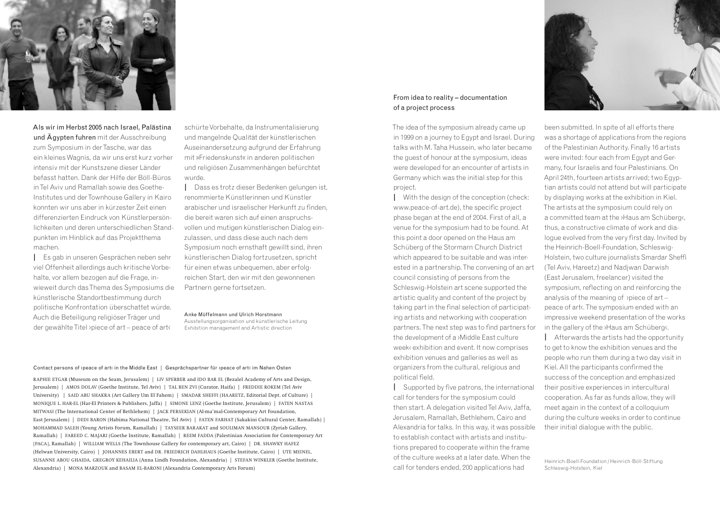

Als wir im Herbst 2005 nach Israel, Palästina und Ägypten fuhren mit der Ausschreibung zum Symposium in der Tasche, war das ein kleines Wagnis, da wir uns erst kurz vorher intensiv mit der Kunstszene dieser Länder befasst hatten. Dank der Hilfe der Böll-Büros in Tel Aviv und Ramallah sowie des Goethe-Institutes und der Townhouse Gallery in Kairo konnten wir uns aber in kürzester Zeit einen differenzierten Eindruck von Künstlerpersönlichkeiten und deren unterschiedlichen Standpunkten im Hinblick auf das Projektthema machen.

**|** Es gab in unseren Gesprächen neben sehr viel Offenheit allerdings auch kritische Vorbehalte, vor allem bezogen auf die Frage, inwieweit durch das Thema des Symposiums die künstlerische Standortbestimmung durch politische Konfrontation überschattet würde. Auch die Beteiligung religiöser Träger und der gewählte Titel ›piece of art – peace of art‹

schürte Vorbehalte, da Instrumentalisierung und mangelnde Qualität der künstlerischen Auseinandersetzung aufgrund der Erfahrung mit »Friedenskunst« in anderen politischen und religiösen Zusammenhängen befürchtet wurde.

**|** Dass es trotz dieser Bedenken gelungen ist, renommierte Künstlerinnen und Künstler arabischer und israelischer Herkunft zu finden, die bereit waren sich auf einen anspruchsvollen und mutigen künstlerischen Dialog einzulassen, und dass diese auch nach dem Symposium noch ernsthaft gewillt sind, ihren künstlerischen Dialog fortzusetzen, spricht für einen etwas unbequemen, aber erfolgreichen Start, den wir mit den gewonnenen Partnern gerne fortsetzen.

Anke Müffelmann und Ulrich Horstmann

Ausstellungsorganisation und künstlerische Leitung Exhibition management and Artistic direction

#### Contact persons of ›peace of art‹ in the Middle East | Gesprächspartner für ›peace of art‹ im Nahen Osten

RAPHIE ETGAR (Museum on the Seam, Jerusalem) | LIV SPERBER and IDO BAR EL (Bezalel Academy of Arts and Design, Jerusalem ) | AMOS DOLAV ( Goethe Institute, Tel Aviv ) | TAL BEN ZVI ( Curator, Haifa ) | FREDDIE ROKEM ( Tel Aviv University | SAID ABU SHAKRA (Art Gallery Um El Fahem ) | SMADAR SHEFFI (HAARETZ, Editorial Dept. of Culture ) | MONIQUE L. HAR-EL (Har-El Printers & Publishers, Jaffa) | SIMONE LENZ (Goethe Institute, Jerusalem) | FATEN NASTAS MITWASI ( The International Center of Bethlehem ) | JACK PERSEKIAN ( Al-ma'mal-Contemporary Art Foundation, East Jerusalem) | DEDI BARON (Habima National Theatre, Tel Aviv) | FATEN FARHAT (Sakakini Cultural Center, Ramallah) | MOHAMMAD SALEH (Young Artists Forum, Ramallah) | TAYSEER BARAKAT and SOULIMAN MANSOUR (Zyriab Gallery, Ramallah ) | FAREED C. MAJARI (Goethe Institute, Ramallah ) | REEM FADDA (Palestinian Association for Contemporary Art [ PACA ], Ramallah ) | WILLIAM WELLS ( The Townhouse Gallery for contemporary art, Cairo ) | DR. SHAWKY HAFEZ ( Helwan University, Cairo ) | JOHANNES EBERT and DR. FRIEDRICH DAHLHAUS ( Goethe Institute, Cairo ) | UTE MEINEL, SUSANNE ABOU GHAIDA, GREGROY KEHAILIA ( Anna Lindh Foundation, Alexandria ) | STEFAN WINKLER ( Goethe Institute, Alexandria) | MONA MARZOUK and BASAM EL-BARONI (Alexandria Contemporary Arts Forum)

# From idea to reality – documentation of a project process

The idea of the symposium already came up in 1999 on a journey to Egypt and Israel. During talks with M. Taha Hussein, who later became the guest of honour at the symposium, ideas were developed for an encounter of artists in Germany which was the initial step for this project.

**|** With the design of the conception (check: www.peace-of-art.de), the specific project phase began at the end of 2004. First of all, a venue for the symposium had to be found. At this point a door opened on the Haus am Schüberg of the Stormarn Church District which appeared to be suitable and was interested in a partnership. The convening of an art council consisting of persons from the Schleswig-Holstein art scene supported the artistic quality and content of the project by taking part in the final selection of participating artists and networking with cooperation partners. The next step was to find partners for the development of a ›Middle East culture week‹ exhibition and event. It now comprises exhibition venues and galleries as well as organizers from the cultural, religious and political field.

**|** Supported by five patrons, the international call for tenders for the symposium could then start. A delegation visited Tel Aviv, Jaffa, Jerusalem, Ramallah, Bethlehem, Cairo and Alexandria for talks. In this way, it was possible to establish contact with artists and institutions prepared to cooperate within the frame of the culture weeks at a later date. When the call for tenders ended, 200 applications had



been submitted. In spite of all efforts there was a shortage of applications from the regions of the Palestinian Authority. Finally 16 artists were invited: four each from Egypt and Germany, four Israelis and four Palestinians. On April 24th, fourteen artists arrived; two Egyptian artists could not attend but will participate by displaying works at the exhibition in Kiel. The artists at the symposium could rely on a committed team at the **>Haus am Schüberg**, thus, a constructive climate of work and dialogue evolved from the very first day. Invited by the Heinrich-Boell-Foundation, Schleswig-Holstein, two culture journalists Smardar Sheffi (Tel Aviv, Hareetz) and Nadjwan Darwish (East Jerusalem, freelancer) visited the symposium, reflecting on and reinforcing the analysis of the meaning of ›piece of art – peace of art‹. The symposium ended with an impressive weekend presentation of the works in the gallery of the ›Haus am Schüberg‹.

**|** Afterwards the artists had the opportunity to get to know the exhibition venues and the people who run them during a two day visit in Kiel. All the participants confirmed the success of the conception and emphasized their positive experiences in intercultural cooperation. As far as funds allow, they will meet again in the context of a colloquium during the culture weeks in order to continue their initial dialogue with the public.

Heinrich-Boell-Foundation / Heinrich-Böll-Stiftung Schleswig-Holstein, Kiel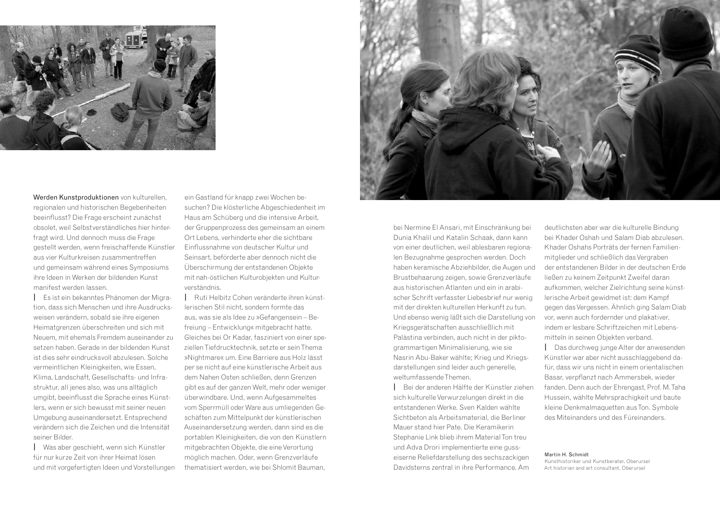

Werden Kunstproduktionen von kulturellen. regionalen und historischen Begebenheiten beeinflusst? Die Frage erscheint zunächst obsolet, weil Selbstverständliches hier hinterfragt wird. Und dennoch muss die Frage gestellt werden, wenn freischaffende Künstler aus vier Kulturkreisen zusammentreffen und gemeinsam während eines Symposiums ihre Ideen in Werken der bildenden Kunst manifest werden lassen.

**|** Es ist ein bekanntes Phänomen der Migration, dass sich Menschen und ihre Ausdrucksweisen verändern, sobald sie ihre eigenen Heimatgrenzen überschreiten und sich mit Neuem, mit ehemals Fremdem auseinander zu setzen haben. Gerade in der bildenden Kunst ist dies sehr eindrucksvoll abzulesen. Solche vermeintlichen Kleinigkeiten, wie Essen, Klima, Landschaft, Gesellschafts- und Infrastruktur, all jenes also, was uns alltäglich umgibt, beeinflusst die Sprache eines Künstlers, wenn er sich bewusst mit seiner neuen Umgebung auseinandersetzt. Entsprechend verändern sich die Zeichen und die Intensität seiner Bilder.

**|** Was aber geschieht, wenn sich Künstler für nur kurze Zeit von ihrer Heimat lösen und mit vorgefertigten Ideen und Vorstellungen

ein Gastland für knapp zwei Wochen besuchen? Die klösterliche Abgeschiedenheit im Haus am Schüberg und die intensive Arbeit, der Gruppenprozess des gemeinsam an einem Ort Lebens, verhinderte eher die sichtbare Einflussnahme von deutscher Kultur und Seinsart, beförderte aber dennoch nicht die Überschirmung der entstandenen Objekte mit nah-östlichen Kulturobjekten und Kulturverständnis.

**|** Ruti Helbitz Cohen veränderte ihren künstlerischen Stil nicht, sondern formte das aus, was sie als Idee zu »Gefangensein – Befreiung – Entwicklung« mitgebracht hatte. Gleiches bei Or Kadar, fasziniert von einer speziellen Tiefdrucktechnik, setzte er sein Thema »Nightmare« um. Eine Barriere aus Holz lässt per se nicht auf eine künstlerische Arbeit aus dem Nahen Osten schließen, denn Grenzen gibt es auf der ganzen Welt, mehr oder weniger überwindbare. Und, wenn Aufgesammeltes vom Sperrmüll oder Ware aus umliegenden Geschäften zum Mittelpunkt der künstlerischen Auseinandersetzung werden, dann sind es die portablen Kleinigkeiten, die von den Künstlern mitgebrachten Objekte, die eine Verortung möglich machen. Oder, wenn Grenzverläufe thematisiert werden, wie bei Shlomit Bauman,



bei Nermine El Ansari, mit Einschränkung bei Dunia Khalil und Katalin Schaak, dann kann von einer deutlichen, weil ablesbaren regionalen Bezugnahme gesprochen werden. Doch haben keramische Abziehbilder, die Augen und Brustbehaarung zeigen, sowie Grenzverläufe aus historischen Atlanten und ein in arabischer Schrift verfasster Liebesbrief nur wenig mit der direkten kulturellen Herkunft zu tun. Und ebenso wenig läßt sich die Darstellung von Kriegsgerätschaften ausschließlich mit Palästina verbinden, auch nicht in der piktogrammartigen Minimalisierung, wie sie Nasrin Abu-Baker wählte; Krieg und Kriegsdarstellungen sind leider auch generelle, weltumfassende Themen.

**|** Bei der anderen Hälfte der Künstler ziehen sich kulturelle Verwurzelungen direkt in die entstandenen Werke. Sven Kalden wählte Sichtbeton als Arbeitsmaterial, die Berliner Mauer stand hier Pate. Die Keramikerin Stephanie Link blieb ihrem Material Ton treu und Adva Drori implementierte eine gusseiserne Reliefdarstellung des sechszackigen Davidsterns zentral in ihre Performance. Am

deutlichsten aber war die kulturelle Bindung bei Khader Oshah und Salam Diab abzulesen. Khader Oshahs Porträts der fernen Familienmitglieder und schließlich das Vergraben der entstandenen Bilder in der deutschen Erde ließen zu keinem Zeitpunkt Zweifel daran aufkommen, welcher Zielrichtung seine künstlerische Arbeit gewidmet ist: dem Kampf gegen das Vergessen. Ähnlich ging Salam Diab vor, wenn auch fordernder und plakativer, indem er lesbare Schriftzeichen mit Lebensmitteln in seinen Objekten verband.

**|** Das durchweg junge Alter der anwesenden Künstler war aber nicht ausschlaggebend dafür, dass wir uns nicht in einem orientalischen Basar, verpflanzt nach Ammersbek, wieder fanden. Denn auch der Ehrengast, Prof. M. Taha Hussein, wählte Mehrsprachigkeit und baute kleine Denkmalmaquetten aus Ton. Symbole des Miteinanders und des Füreinanders.

Martin H. Schmidt Kunsthistoriker und Kunstberater, Oberursel Art historian and art consultant, Oberursel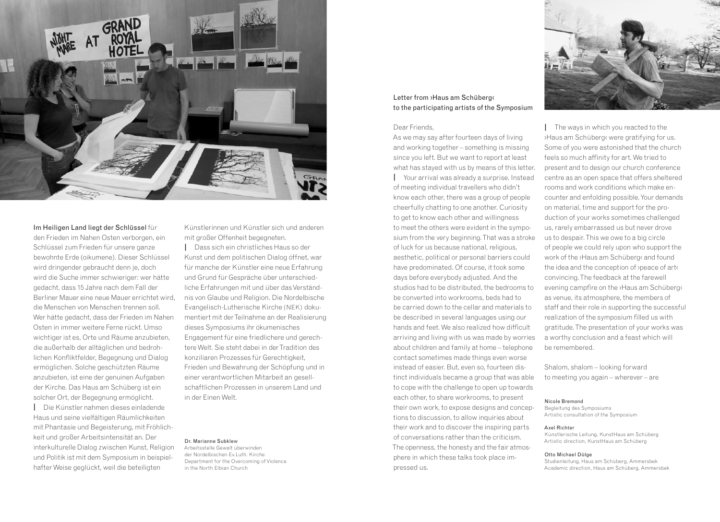

### Im Heiligen Land liegt der Schlüssel für

den Frieden im Nahen Osten verborgen, ein Schlüssel zum Frieden für unsere ganze bewohnte Erde (oikumene). Dieser Schlüssel wird dringender gebraucht denn je, doch wird die Suche immer schwieriger: wer hätte gedacht, dass 15 Jahre nach dem Fall der Berliner Mauer eine neue Mauer errichtet wird, die Menschen von Menschen trennen soll. Wer hätte gedacht, dass der Frieden im Nahen Osten in immer weitere Ferne rückt. Umso wichtiger ist es, Orte und Räume anzubieten, die außerhalb der alltäglichen und bedrohlichen Konfliktfelder, Begegnung und Dialog ermöglichen. Solche geschützten Räume anzubieten, ist eine der genuinen Aufgaben der Kirche. Das Haus am Schüberg ist ein solcher Ort, der Begegnung ermöglicht.

**|** Die Künstler nahmen dieses einladende Haus und seine vielfältigen Räumlichkeiten mit Phantasie und Begeisterung, mit Fröhlichkeit und großer Arbeitsintensität an. Der interkulturelle Dialog zwischen Kunst, Religion und Politik ist mit dem Symposium in beispielhafter Weise geglückt, weil die beteiligten

Künstlerinnen und Künstler sich und anderen mit großer Offenheit begegneten.

**|** Dass sich ein christliches Haus so der Kunst und dem politischen Dialog öffnet, war für manche der Künstler eine neue Erfahrung und Grund für Gespräche über unterschiedliche Erfahrungen mit und über das Verständnis von Glaube und Religion. Die Nordelbische Evangelisch-Lutherische Kirche (NEK) dokumentiert mit der Teilnahme an der Realisierung dieses Symposiums ihr ökumenisches Engagement für eine friedlichere und gerechtere Welt. Sie steht dabei in der Tradition des konziliaren Prozesses für Gerechtigkeit, Frieden und Bewahrung der Schöpfung und in einer verantwortlichen Mitarbeit an gesellschaftlichen Prozessen in unserem Land und in der Einen Welt.

### Dr. Marianne Subklew

Arbeitsstelle Gewalt überwinden der Nordelbischen Ev.Luth. Kirche Department for the Overcoming of Violence in the North Elbian Church

# Letter from ›Haus am Schüberg‹ to the participating artists of the Symposium

## Dear Friends,

As we may say after fourteen days of living and working together – something is missing since you left. But we want to report at least what has stayed with us by means of this letter. **|** Your arrival was already a surprise. Instead of meeting individual travellers who didn't know each other, there was a group of people cheerfully chatting to one another. Curiosity to get to know each other and willingness to meet the others were evident in the symposium from the very beginning. That was a stroke of luck for us because national, religious, aesthetic, political or personal barriers could have predominated. Of course, it took some days before everybody adjusted. And the studios had to be distributed, the bedrooms to be converted into workrooms, beds had to be carried down to the cellar and materials to be described in several languages using our hands and feet. We also realized how difficult arriving and living with us was made by worries about children and family at home – telephone contact sometimes made things even worse instead of easier. But, even so, fourteen distinct individuals became a group that was able to cope with the challenge to open up towards each other, to share workrooms, to present their own work, to expose designs and conceptions to discussion, to allow inquiries about their work and to discover the inspiring parts of conversations rather than the criticism. The openness, the honesty and the fair atmosphere in which these talks took place impressed us.



**|** The ways in which you reacted to the ›Haus am Schüberg‹ were gratifying for us. Some of you were astonished that the church feels so much affinity for art. We tried to present and to design our church conference centre as an open space that offers sheltered rooms and work conditions which make encounter and enfolding possible. Your demands on material, time and support for the production of your works sometimes challenged us, rarely embarrassed us but never drove us to despair. This we owe to a big circle of people we could rely upon who support the work of the ›Haus am Schüberg‹ and found the idea and the conception of ›peace of art‹ convincing. The feedback at the farewell evening campfire on the ›Haus am Schüberg‹ as venue, its atmosphere, the members of staff and their role in supporting the successful realization of the symposium filled us with gratitude. The presentation of your works was a worthy conclusion and a feast which will be remembered.

Shalom, shalom – looking forward to meeting you again – wherever – are

#### Nicole Bremond

Begleitung des Symposiums Artistic consultation of the Symposium

#### Axel Richter

Künstlerische Leitung, KunstHaus am Schüberg Artistic direction, KunstHaus am Schüberg

#### Otto Michael Dülge

Studienleitung, Haus am Schüberg, Ammersbek Academic direction, Haus am Schüberg, Ammersbek